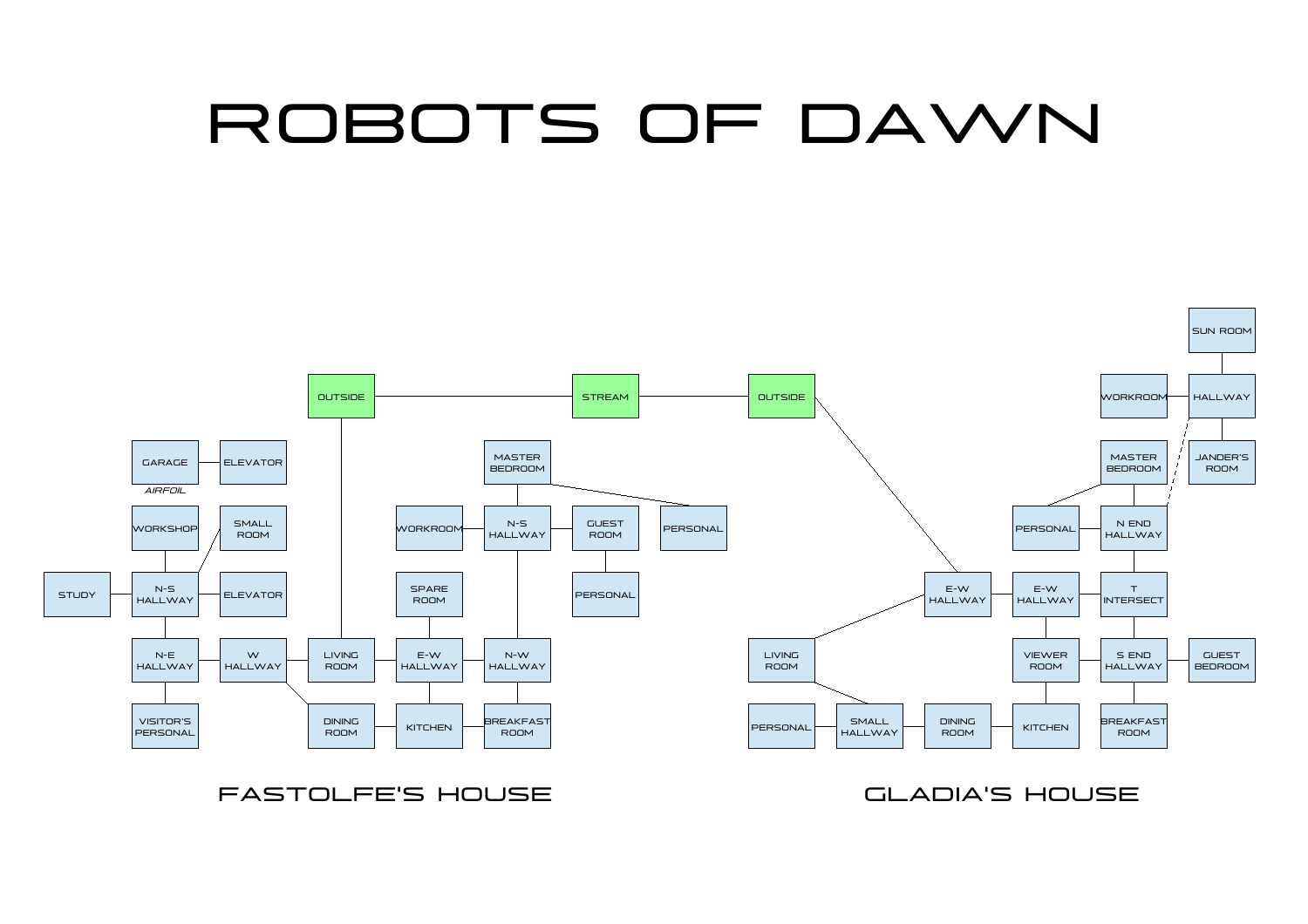## ROBOTS OF DAWN



FASTOLFE'S HOUSE GLADIA'S HOUSE